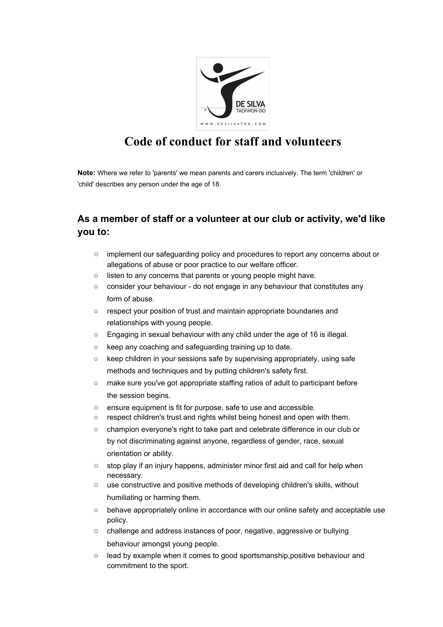

## **Code of conduct for staff and volunteers**

**Note:** Where we refer to 'parents' we mean parents and carers inclusively. The term 'children' or 'child' describes any person under the age of 18.

## **As a member of staff or a volunteer at our club or activity, we'd like you to:**

- implement our safeguarding policy and procedures to report any concerns about or allegations of abuse or poor practice to our welfare officer.
- listen to any concerns that parents or young people might have.
- consider your behaviour do not engage in any behaviour that constitutes any form of abuse.
- respect your position of trust and maintain appropriate boundaries and relationships with young people.
- Engaging in sexual behaviour with any child under the age of 16 is illegal.
- keep any coaching and safeguarding training up to date.
- keep children in your sessions safe by supervising appropriately, using safe methods and techniques and by putting children's safety first.
- make sure you've got appropriate staffing ratios of adult to participant before the session begins.
- ensure equipment is fit for purpose, safe to use and accessible.
- respect children's trust and rights whilst being honest and open with them.
- champion everyone's right to take part and celebrate difference in our club or by not discriminating against anyone, regardless of gender, race, sexual orientation or ability.
- stop play if an injury happens, administer minor first aid and call for help when necessary.
- use constructive and positive methods of developing children's skills, without humiliating or harming them.
- behave appropriately online in accordance with our online safety and acceptable use policy.
- challenge and address instances of poor, negative, aggressive or bullying behaviour amongst young people.
- lead by example when it comes to good sportsmanship,positive behaviour and commitment to the sport.